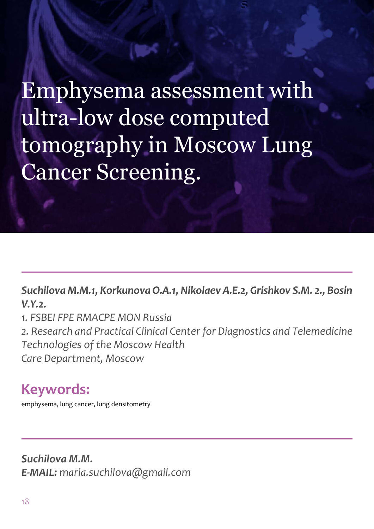Emphysema assessment with ultra-low dose computed tomography in Moscow Lung Cancer Screening.

*Suchilova M.M.1, Korkunova O.A.1, Nikolaev A.E.2, Grishkov S.M. 2., Bosin V.Y.2.*

*1. FSBEI FPE RMACPE MON Russia*

*2. Research and Practical Clinical Center for Diagnostics and Telemedicine Technologies of the Moscow Health*

*Care Department, Moscow*

### **Keywords:**

emphysema, lung cancer, lung densitometry

*Suchilova M.M. E-MAIL: maria.suchilova@gmail.com*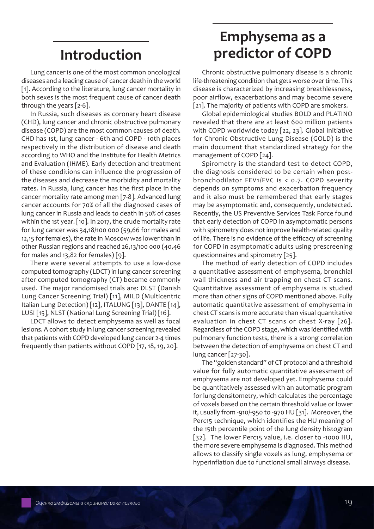### **Introduction**

Lung cancer is one of the most common oncological diseases and a leading cause of cancer death in the world [1]. According to the literature, lung cancer mortality in both sexes is the most frequent cause of cancer death through the years [2-6].

In Russia, such diseases as coronary heart disease (CHD), lung cancer and chronic obstructive pulmonary disease (COPD) are the most common causes of death. CHD has 1st, lung cancer - 6th and COPD - 10th places respectively in the distribution of disease and death according to WHO and the Institute for Health Metrics and Evaluation (IHME). Early detection and treatment of these conditions can influence the progression of the diseases and decrease the morbidity and mortality rates. In Russia, lung cancer has the first place in the cancer mortality rate among men [7-8]. Advanced lung cancer accounts for 70% of all the diagnosed cases of lung cancer in Russia and leads to death in 50% of cases within the 1st year. [10]. In 2017, the crude mortality rate for lung cancer was 34,18/100 000 (59,66 for males and 12,15 for females), the rate in Moscow was lower than in other Russian regions and reached 26,13/100 000 (40,46 for males and 13,82 for females) [9].

There were several attempts to use a low-dose computed tomography (LDCT) in lung cancer screening after computed tomography (CT) became commonly used. The major randomised trials are: DLST (Danish Lung Cancer Screening Trial) [11], MILD (Multicentric Italian Lung Detection) [12], ITALUNG [13], DANTE [14], LUSI [15], NLST (National Lung Screening Trial) [16].

LDCT allows to detect emphysema as well as focal lesions. A cohort study in lung cancer screening revealed that patients with COPD developed lung cancer 2-4 times frequently than patients without COPD [17, 18, 19, 20].

## **Emphysema as a predictor of COPD**

Chronic obstructive pulmonary disease is a chronic life-threatening condition that gets worse over time. This disease is characterized by increasing breathlessness, poor airflow, еxacerbations and may become severe [21]. The majority of patients with COPD are smokers.

Global epidemiological studies BOLD and PLATINO revealed that there are at least 600 million patients with COPD worldwide today [22, 23]. Global Initiative for Chronic Obstructive Lung Disease (GOLD) is the main document that standardized strategy for the management of COPD [24].

Spirometry is the standard test to detect COPD, the diagnosis considered to be certain when postbronchodilator FEV1/FVC is < 0.7. COPD severity depends on symptoms and exacerbation frequency and it also must be remembered that early stages may be asymptomatic and, consequently, undetected. Recently, the US Preventive Services Task Force found that early detection of COPD in asymptomatic persons with spirometry does not improve health-related quality of life. There is no evidence of the efficacy of screening for COPD in asymptomatic adults using prescreening questionnaires and spirometry [25].

The method of early detection of COPD includes a quantitative assessment of emphysema, bronchial wall thickness and air trapping on chest CT scans. Quantitative assessment of emphysema is studied more than other signs of COPD mentioned above. Fully automatic quantitative assessment of emphysema in chest CT scans is more accurate than visual quantitative evaluation in chest CT scans or chest X-ray [26]. Regardless of the COPD stage, which was identified with pulmonary function tests, there is a strong correlation between the detection of emphysema on chest CT and lung cancer [27-30].

The "golden standard" of CT protocol and a threshold value for fully automatic quantitative assessment of emphysema are not developed yet. Emphysema could be quantitatively assessed with an automatic program for lung densitometry, which calculates the percentage of voxels based on the certain threshold value or lower it, usually from -910/-950 to -970 HU [31]. Moreover, the Perc15 technique, which identifies the HU meaning of the 15th percentile point of the lung density histogram [32]. The lower Perc15 value, i.e. closer to -1000 HU, the more severe emphysema is diagnosed. This method allows to classify single voxels as lung, emphysema or hyperinflation due to functional small airways disease.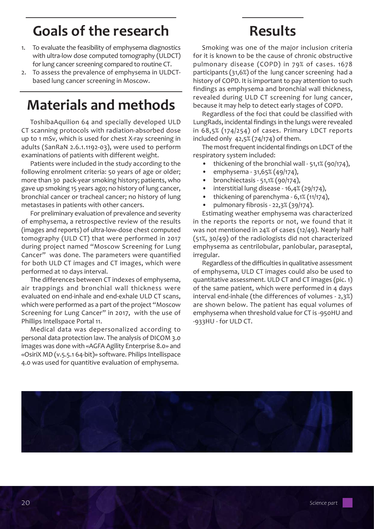## **Goals of the research**

- 1. To evaluate the feasibility of emphysema diagnostics with ultra-low dose computed tomography (ULDCT) for lung cancer screening compared to routine CT.
- 2. To assess the prevalence of emphysema in ULDCTbased lung cancer screening in Moscow.

#### **Materials and methods**

ToshibaAquilion 64 and specially developed ULD CT scanning protocols with radiation-absorbed dose up to 1 mSv, which is used for chest X-ray screening in adults (SanRaN 2.6.1.1192-03), were used to perform examinations of patients with different weight.

Patients were included in the study according to the following enrolment criteria: 50 years of age or older; more than 30 pack-year smoking history; patients, who gave up smoking 15 years ago; no history of lung cancer, bronchial cancer or tracheal cancer; no history of lung metastases in patients with other cancers.

For preliminary evaluation of prevalence and severity of emphysema, a retrospective review of the results (images and reports) of ultra-low-dose chest computed tomography (ULD CT) that were performed in 2017 during project named "Moscow Screening for Lung Cancer" was done. The parameters were quantified for both ULD CT images and CT images, which were performed at 10 days interval.

The differences between CT indexes of emphysema, air trappings and bronchial wall thickness were evaluated on end-inhale and end-exhale ULD CT scans, which were performed as a part of the project "Moscow Screening for Lung Cancer" in 2017, with the use of Phillips Intellspace Portal 11.

Medical data was depersonalized according to personal data protection law. The analysis of DICOM 3.0 images was done with «AGFA Agility Enterprise 8.0» and «OsiriX MD (v.5.5.1 64-bit)» software. Philips Intellispace 4.0 was used for quantitive evaluation of emphysema.

# **Results**

Smoking was one of the major inclusion criteria for it is known to be the cause of chronic obstructive pulmonary disease (COPD) in 79% of cases. 1678 participants (31,6%) of the lung cancer screening had a history of COPD. It is important to pay attention to such findings as emphysema and bronchial wall thickness, revealed during ULD CT screening for lung cancer, because it may help to detect early stages of COPD.

Regardless of the foci that could be classified with LungRads, incidental findings in the lungs were revealed in 68,5% (174/254) of cases. Primary LDCT reports included only  $42,5\%$  (74/174) of them.

The most frequent incidental findings on LDCT of the respiratory system included:

- thickening of the bronchial wall 51,1% (90/174),
- emphysema 31,65% (49/174),
- bronchiectasis 51,1% (90/174),
- interstitial lung disease 16,4% (29/174),
- thickening of parenchyma 6,1% (11/174),
- pulmonary fibrosis 22,3% (39/174).

Estimating weather emphysema was characterized in the reports the reports or not, we found that it was not mentioned in 24% of cases (12/49). Nearly half (51%, 30/49) of the radiologists did not characterized emphysema as centrilobular, panlobular, paraseptal, irregular.

Regardless of the difficulties in qualitative assessment of emphysema, ULD CT images could also be used to quantitative assessment. ULD CT and CT images (pic. 1) of the same patient, which were performed in 4 days interval end-inhale (the differences of volumes - 2,3%) are shown below. The patient has equal volumes of emphysema when threshold value for CT is -950HU and -933HU - for ULD CT.

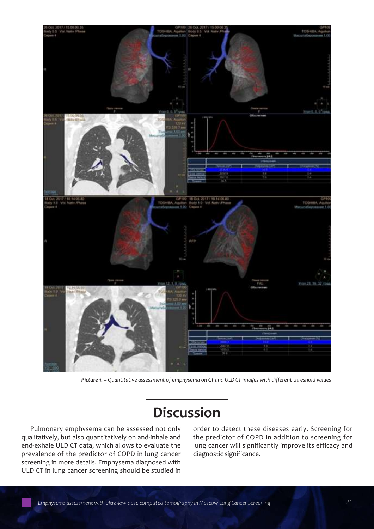

*Picture 1. – Quantitative assessment of emphysema on CT and ULD CT images with different threshold values* 

#### **Discussion**

Pulmonary emphysema can be assessed not only qualitatively, but also quantitatively on and-inhale and end-exhale ULD CT data, which allows to evaluate the prevalence of the predictor of COPD in lung cancer screening in more details. Emphysema diagnosed with ULD CT in lung cancer screening should be studied in

order to detect these diseases early. Screening for the predictor of COPD in addition to screening for lung cancer will significantly improve its efficacy and diagnostic significance.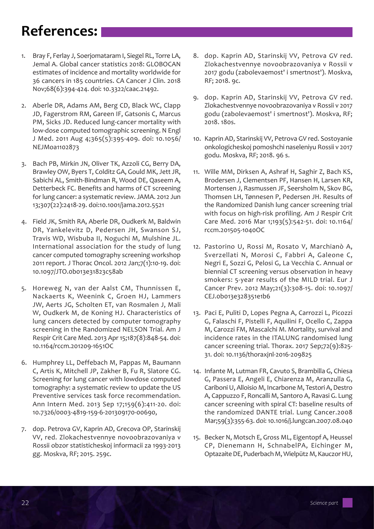# **References:**

- Bray F, Ferlay J, Soerjomataram I, Siegel RL, Torre LA, Jemal A. Global cancer statistics 2018: GLOBOCAN estimates of incidence and mortality worldwide for 36 cancers in 185 countries. CA Cancer J Clin. 2018 Nov;68(6):394-424. doi: 10.3322/caac.21492.
- 2. Aberle DR, Adams AM, Berg CD, Black WC, Clapp JD, Fagerstrom RM, Gareen IF, Gatsonis C, Marcus PM, Sicks JD. Reduced lung-cancer mortality with low-dose computed tomographic screening. N Engl J Med. 2011 Aug 4;365(5):395-409. doi: 10.1056/ NEJMoa1102873
- 3. Bach PB, Mirkin JN, Oliver TK, Azzoli CG, Berry DA, Brawley OW, Byers T, Colditz GA, Gould MK, Jett JR, Sabichi AL, Smith-Bindman R, Wood DE, Qaseem A, Detterbeck FC. Benefits and harms of CT screening for lung cancer: a systematic review. JAMA. 2012 Jun 13;307(22):2418-29. doi:10.1001/jama.2012.5521
- 4. Field JK, Smith RA, Aberle DR, Oudkerk M, Baldwin DR, Yankelevitz D, Pedersen JH, Swanson SJ, Travis WD, Wisbuba II, Noguchi M, Mulshine JL. International association for the study of lung cancer computed tomography screening workshop 2011 report. J Thorac Oncol. 2012 Jan;7(1):10-19. doi: 10.1097/JTO.0b013e31823c58ab
- 5. Horeweg N, van der Aalst CM, Thunnissen E, Nackaerts K, Weenink C, Groen HJ, Lammers JW, Aerts JG, Scholten ET, van Rosmalen J, Mali W, Oudkerk M, de Koning HJ. Characteristics of lung cancers detected by computer tomography screening in the Randomized NELSON Trial. Am J Respir Crit Care Med. 2013 Apr 15;187(8):848-54. doi: 10.1164/rccm.201209-1651OC
- 6. Humphrey LL, Deffebach M, Pappas M, Baumann C, Artis K, Mitchell JP, Zakher B, Fu R, Slatore CG. Screening for lung cancer with lowdose computed tomography: a systematic review to update the US Preventive services task force recommendation. Ann Intern Med. 2013 Sep 17;159(6):411-20. doi: 10.7326/0003-4819-159-6-201309170-00690,
- 7. dop. Petrova GV, Kaprin AD, Grecova OP, Starinskij VV, red. Zlokachestvennye novoobrazovaniya v Rossii obzor statisticheskoj informacii za 1993-2013 gg. Moskva, RF; 2015. 259с.
- 8. dop. Kaprin AD, Starinskij VV, Petrova GV red. Zlokachestvennye novoobrazovaniya v Rossii v 2017 godu (zabolevaemost' i smertnost'). Moskva, RF; 2018. 9с.
- 9. dop. Kaprin AD, Starinskij VV, Petrova GV red. Zlokachestvennye novoobrazovaniya v Rossii v 2017 godu (zabolevaemost' i smertnost'). Moskva, RF; 2018. 180s.
- 10. Kaprin AD, Starinskij VV, Petrova GV red. Sostoyanie onkologicheskoj pomoshchi naseleniyu Rossii v 2017 godu. Moskva, RF; 2018. 96 s.
- 11. Wille MM, Dirksen A, Ashraf H, Saghir Z, Bach KS, Brodersen J, Clementsen PF, Hansen H, Larsen KR, Mortensen J, Rasmussen JF, Seersholm N, Skov BG, Thomsen LH, Tønnesen P, Pedersen JH. Results of the Randomized Danish lung cancer screening trial with focus on high-risk profiling. Am J Respir Crit Care Med. 2016 Mar 1;193(5):542-51. doi: 10.1164/ rccm.201505-1040OC
- 12. Pastorino U, Rossi M, Rosato V, Marchianò A, Sverzellati N, Morosi C, Fabbri A, Galeone C, Negri E, Sozzi G, Pelosi G, La Vecchia C. Annual or biennial CT screening versus observation in heavy smokers: 5-year results of the MILD trial. Eur J Cancer Prev. 2012 May;21(3):308-15. doi: 10.1097/ CEJ.0b013e328351e1b6
- 13. Paci E, Puliti D, Lopes Pegna A, Carrozzi L, Picozzi G, Falaschi F, Pistelli F, Aquilini F, Ocello C, Zappa M, Carozzi FM, Mascalchi M. Mortality, survival and incidence rates in the ITALUNG randomised lung cancer screening trial. Thorax. 2017 Sep;72(9):825- 31. doi: 10.1136/thoraxjnl-2016-209825
- 14. Infante M, Lutman FR, Cavuto S, Brambilla G, Chiesa G, Passera E, Angeli E, Chiarenza M, Aranzulla G, Cariboni U, Alloisio M, Incarbone M, Testori A, Destro A, Cappuzzo F, Roncalli M, Santoro A, Ravasi G. Lung cancer screening with spiral CT: baseline results of the randomized DANTE trial. Lung Cancer.2008 Mar;59(3):355-63. doi: 10.1016/j.lungcan.2007.08.040
- 15. Becker N, Motsch E, Gross ML, Eigentopf A, Heussel CP, Dienemann H, SchnabelPA, Eichinger M, Optazaite DE, Puderbach M, Wielpütz M, Kauczor HU,